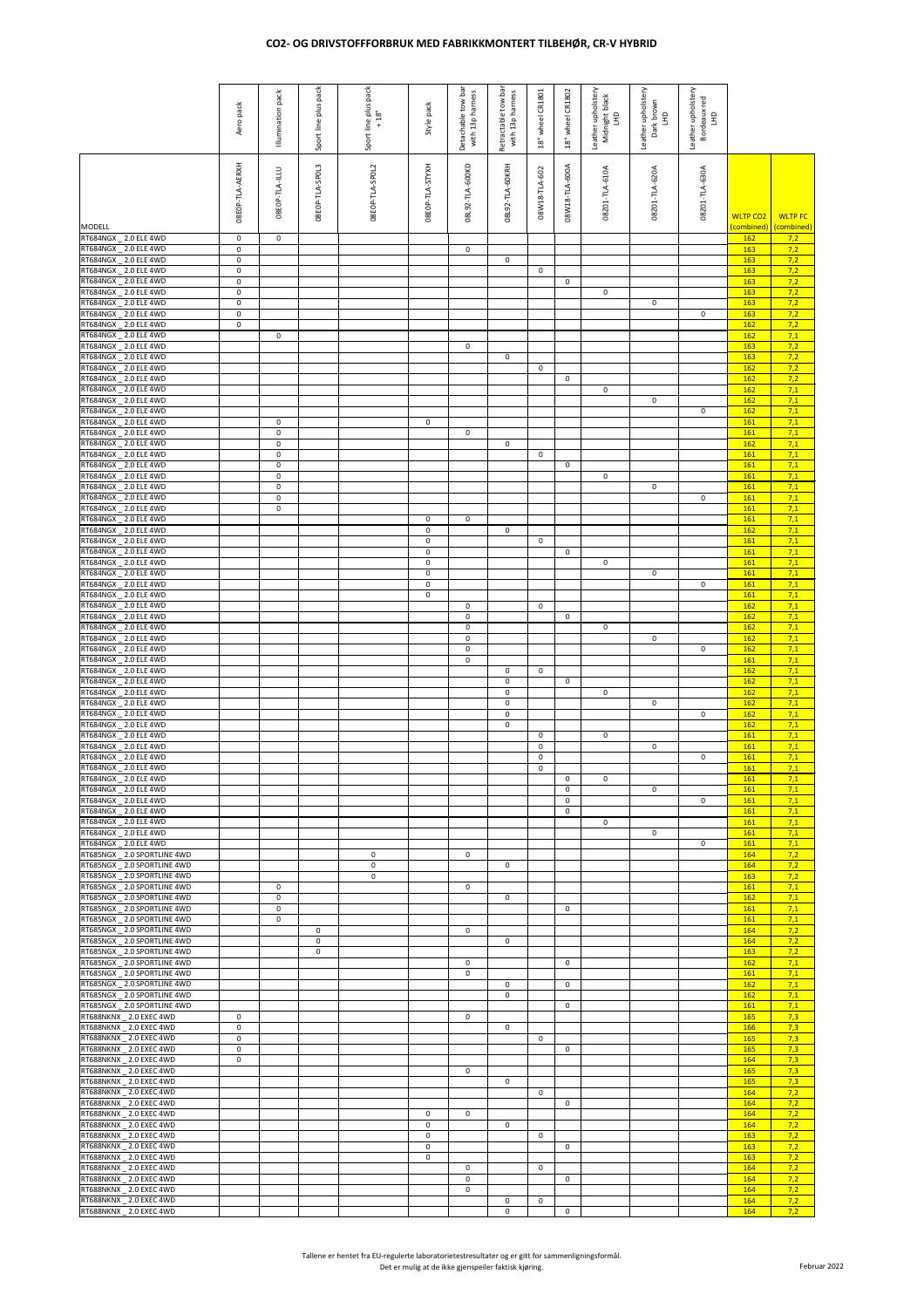## **CO2- OG DRIVSTOFFFORBRUK MED FABRIKKMONTERT TILBEHØR, CR-V HYBRID**

|                                                              | Aero pack                  | Illumination pack          | Sport line plus pack       | Sport line plus pack<br>18" | Style pack                 | Detachable tow bar<br>with 13p harness | Retractable tow bar<br>with 13p harness | CR1801<br>wheel<br>18" | wheel CR1802<br>18" | Leather upholstery<br>Midnight black<br>E | Leather upholstery<br>Dark brown<br>E | Leather upholstery<br>Bordeaux red<br>E |                                          |                |
|--------------------------------------------------------------|----------------------------|----------------------------|----------------------------|-----------------------------|----------------------------|----------------------------------------|-----------------------------------------|------------------------|---------------------|-------------------------------------------|---------------------------------------|-----------------------------------------|------------------------------------------|----------------|
| <b>MODELL</b>                                                | 08E0P-TLA-AERXH            | 08E0P-TLA-ILLU             | 08E0P-TLA-SP0L3            | 08E0P-TLA-SP0L2             | 08E0P-TLA-STYXH            | 08L92-TLA-600KD                        | 08L92-TLA-60KRH                         | 08W18-TLA-602          | 08W18-TLA-600A      | 08201-TLA-610A                            | 08201-TLA-620A                        | 08201-TLA-630A                          | <b>WLTP CO2</b><br>(combined) (combined) | <b>WLTP FC</b> |
| RT684NGX _ 2.0 ELE 4WD<br>RT684NGX _ 2.0 ELE 4WD             | $\mathbf 0$<br>$\mathbf 0$ | $\mathbf 0$                |                            |                             |                            | $\mathbf 0$                            |                                         |                        |                     |                                           |                                       |                                         | 162<br>163                               | 7,2<br>7,2     |
| RT684NGX _ 2.0 ELE 4WD<br>RT684NGX _ 2.0 ELE 4WD             | $\pmb{0}$<br>$\mathbf 0$   |                            |                            |                             |                            |                                        | $\mathsf 0$                             | $\mathbf 0$            |                     |                                           |                                       |                                         | <b>163</b><br>163                        | 7,2<br>7,2     |
| RT684NGX _ 2.0 ELE 4WD<br>RT684NGX _ 2.0 ELE 4WD             | $\mathsf 0$<br>$\mathbf 0$ |                            |                            |                             |                            |                                        |                                         |                        | $\mathbf 0$         | $\mathbf 0$                               |                                       |                                         | 163<br>163                               | 7,2<br>7,2     |
| RT684NGX _ 2.0 ELE 4WD                                       | $\mathbf 0$                |                            |                            |                             |                            |                                        |                                         |                        |                     |                                           | $\mathbf 0$                           |                                         | 163                                      | 7,2            |
| RT684NGX _ 2.0 ELE 4WD<br>RT684NGX _ 2.0 ELE 4WD             | $\mathsf 0$<br>$\mathsf 0$ |                            |                            |                             |                            |                                        |                                         |                        |                     |                                           |                                       | $\mathbf 0$                             | 163<br><b>162</b>                        | 7,2<br>7,2     |
| RT684NGX _ 2.0 ELE 4WD<br>RT684NGX _ 2.0 ELE 4WD             |                            | $\mathsf 0$                |                            |                             |                            | $\mathbf 0$                            |                                         |                        |                     |                                           |                                       |                                         | 162<br>163                               | 7,1<br>7,2     |
| RT684NGX _ 2.0 ELE 4WD<br>RT684NGX _ 2.0 ELE 4WD             |                            |                            |                            |                             |                            |                                        | $\mathbf 0$                             | 0                      |                     |                                           |                                       |                                         | 163<br><b>162</b>                        | 7,2<br>7,2     |
| RT684NGX _ 2.0 ELE 4WD                                       |                            |                            |                            |                             |                            |                                        |                                         |                        | 0                   |                                           |                                       |                                         | <b>162</b>                               | 7,2            |
| RT684NGX _ 2.0 ELE 4WD<br>RT684NGX _ 2.0 ELE 4WD             |                            |                            |                            |                             |                            |                                        |                                         |                        |                     | $\mathbf 0$                               | $\mathbf 0$                           |                                         | <b>162</b><br><b>162</b>                 | 7,1<br>7,1     |
| RT684NGX _ 2.0 ELE 4WD<br>RT684NGX _ 2.0 ELE 4WD             |                            | 0                          |                            |                             | $\mathbf 0$                |                                        |                                         |                        |                     |                                           |                                       | $\mathbf 0$                             | <b>162</b><br>161                        | 7,1<br>7,1     |
| RT684NGX _ 2.0 ELE 4WD<br>RT684NGX _ 2.0 ELE 4WD             |                            | $\mathbf 0$<br>$\mathsf 0$ |                            |                             |                            | $\mathbf 0$                            | $\mathbf 0$                             |                        |                     |                                           |                                       |                                         | 161<br><b>162</b>                        | 7,1<br>7,1     |
| RT684NGX _ 2.0 ELE 4WD                                       |                            | $\mathbf 0$                |                            |                             |                            |                                        |                                         | $\mathbf 0$            |                     |                                           |                                       |                                         | 161                                      | 7,1            |
| RT684NGX _ 2.0 ELE 4WD<br>RT684NGX _ 2.0 ELE 4WD             |                            | $\mathbf 0$<br>$\mathbf 0$ |                            |                             |                            |                                        |                                         |                        | $\mathbf 0$         | $\mathbf 0$                               |                                       |                                         | 161<br>161                               | 7,1<br>7,1     |
| RT684NGX _ 2.0 ELE 4WD<br>RT684NGX _ 2.0 ELE 4WD             |                            | $\mathbf 0$<br>$\mathsf 0$ |                            |                             |                            |                                        |                                         |                        |                     |                                           | $\mathbf 0$                           | $\mathbf 0$                             | 161<br>161                               | 7,1<br>7,1     |
| RT684NGX _ 2.0 ELE 4WD<br>RT684NGX _ 2.0 ELE 4WD             |                            | $\mathbf 0$                |                            |                             | $\mathbf 0$                | $\boldsymbol{0}$                       |                                         |                        |                     |                                           |                                       |                                         | 161<br>161                               | 7,1<br>7,1     |
| RT684NGX _ 2.0 ELE 4WD                                       |                            |                            |                            |                             | $\mathbf 0$                |                                        | $\mathbf 0$                             |                        |                     |                                           |                                       |                                         | <b>162</b>                               | 7,1            |
| RT684NGX _ 2.0 ELE 4WD<br>RT684NGX _ 2.0 ELE 4WD             |                            |                            |                            |                             | $\mathbf 0$<br>$\mathbf 0$ |                                        |                                         | $\mathbf 0$            | 0                   |                                           |                                       |                                         | 161<br>161                               | 7,1<br>7,1     |
| RT684NGX _ 2.0 ELE 4WD<br>RT684NGX _ 2.0 ELE 4WD             |                            |                            |                            |                             | $\mathbf 0$<br>$\mathbf 0$ |                                        |                                         |                        |                     | $\mathbf 0$                               | 0                                     |                                         | 161<br>161                               | 7,1<br>7,1     |
| RT684NGX _ 2.0 ELE 4WD                                       |                            |                            |                            |                             | $\mathbf 0$                |                                        |                                         |                        |                     |                                           |                                       | $\mathbf 0$                             | 161                                      | 7,1            |
| RT684NGX _ 2.0 ELE 4WD<br>RT684NGX _ 2.0 ELE 4WD             |                            |                            |                            |                             | $\mathbf 0$                | $\mathbf 0$                            |                                         | $\mathbf 0$            |                     |                                           |                                       |                                         | 161<br><b>162</b>                        | 7,1<br>7,1     |
| RT684NGX _ 2.0 ELE 4WD<br>RT684NGX _ 2.0 ELE 4WD             |                            |                            |                            |                             |                            | $\mathbf 0$<br>$\mathbf 0$             |                                         |                        | $\mathbf 0$         | $\mathbf 0$                               |                                       |                                         | 162<br><b>162</b>                        | 7,1<br>7,1     |
| RT684NGX _ 2.0 ELE 4WD                                       |                            |                            |                            |                             |                            | $\mathbf 0$                            |                                         |                        |                     |                                           | $\mathbf 0$                           |                                         | 162                                      | 7,1            |
| RT684NGX _ 2.0 ELE 4WD<br>RT684NGX _ 2.0 ELE 4WD             |                            |                            |                            |                             |                            | $\pmb{0}$<br>$\mathbf 0$               |                                         |                        |                     |                                           |                                       | $\mathbf 0$                             | <b>162</b><br>161                        | 7,1<br>7,1     |
| RT684NGX _ 2.0 ELE 4WD<br>RT684NGX _ 2.0 ELE 4WD             |                            |                            |                            |                             |                            |                                        | $\mathbf 0$<br>$\mathbf 0$              | $\mathbf 0$            | $\mathbf 0$         |                                           |                                       |                                         | <b>162</b><br><b>162</b>                 | 7,1<br>7,1     |
| RT684NGX _ 2.0 ELE 4WD<br>RT684NGX _ 2.0 ELE 4WD             |                            |                            |                            |                             |                            |                                        | $\mathbf 0$<br>$\mathsf 0$              |                        |                     | $\mathbf 0$                               | $\mathsf 0$                           |                                         | 162<br><b>162</b>                        | 7,1<br>7,1     |
| RT684NGX _ 2.0 ELE 4WD                                       |                            |                            |                            |                             |                            |                                        | 0                                       |                        |                     |                                           |                                       | $\mathbf 0$                             | <b>162</b>                               | 7,1            |
| RT684NGX _ 2.0 ELE 4WD<br>RT684NGX _ 2.0 ELE 4WD             |                            |                            |                            |                             |                            |                                        | $\pmb{0}$                               | 0                      |                     | $\mathbf 0$                               |                                       |                                         | <b>162</b><br>161                        | 7,1<br>7,1     |
| RT684NGX _ 2.0 ELE 4WD<br>RT684NGX _ 2.0 ELE 4WD             |                            |                            |                            |                             |                            |                                        |                                         | 0<br>$\mathbf 0$       |                     |                                           | $\mathbf 0$                           | $\mathbf 0$                             | 161<br>161                               | 7,1<br>7,1     |
| RT684NGX _ 2.0 ELE 4WD                                       |                            |                            |                            |                             |                            |                                        |                                         | $\mathbf 0$            |                     |                                           |                                       |                                         | 161                                      | 7,1            |
| RT684NGX _ 2.0 ELE 4WD<br>RT684NGX _ 2.0 ELE 4WD             |                            |                            |                            |                             |                            |                                        |                                         |                        | 0<br>0              | $\mathbf 0$                               | $\mathbf 0$                           |                                         | <b>161</b><br>161                        | 7,1<br>7,1     |
| RT684NGX _ 2.0 ELE 4WD<br>RT684NGX _ 2.0 ELE 4WD             |                            |                            |                            |                             |                            |                                        |                                         |                        | 0<br>0              |                                           |                                       | $\mathbf 0$                             | 161<br><b>161</b>                        | 7,1<br>7,1     |
| RT684NGX _ 2.0 ELE 4WD                                       |                            |                            |                            |                             |                            |                                        |                                         |                        |                     | $\mathbf 0$                               |                                       |                                         | 161                                      | 7,1            |
| RT684NGX _ 2.0 ELE 4WD<br>RT684NGX _ 2.0 ELE 4WD             |                            |                            |                            |                             |                            |                                        |                                         |                        |                     |                                           | $\mathbf 0$                           | $\mathbf 0$                             | 161<br>161                               | 7,1<br>7,1     |
| RT685NGX _ 2.0 SPORTLINE 4WD<br>RT685NGX _ 2.0 SPORTLINE 4WD |                            |                            |                            | $\mathbf 0$<br>$\mathbf 0$  |                            | $\mathbf 0$                            | $\mathbf 0$                             |                        |                     |                                           |                                       |                                         | 164<br>164                               | 7,2<br>7,2     |
| RT685NGX _ 2.0 SPORTLINE 4WD<br>RT685NGX _ 2.0 SPORTLINE 4WD |                            | $\mathbf 0$                |                            | $\mathbf 0$                 |                            | $\mathbf 0$                            |                                         |                        |                     |                                           |                                       |                                         | 163<br>161                               | 7,2<br>7,1     |
| RT685NGX _ 2.0 SPORTLINE 4WD                                 |                            | 0                          |                            |                             |                            |                                        | $\mathbf 0$                             |                        |                     |                                           |                                       |                                         | <b>162</b>                               | 7,1            |
| RT685NGX _ 2.0 SPORTLINE 4WD<br>RT685NGX _ 2.0 SPORTLINE 4WD |                            | $\mathsf 0$<br>$\mathbf 0$ |                            |                             |                            |                                        |                                         |                        | 0                   |                                           |                                       |                                         | 161<br>161                               | 7,1<br>7,1     |
| RT685NGX _ 2.0 SPORTLINE 4WD<br>RT685NGX _ 2.0 SPORTLINE 4WD |                            |                            | $\mathbf 0$<br>$\mathbf 0$ |                             |                            | $\mathsf 0$                            | 0                                       |                        |                     |                                           |                                       |                                         | 164<br><b>164</b>                        | 7,2<br>7,2     |
| RT685NGX _ 2.0 SPORTLINE 4WD<br>RT685NGX _ 2.0 SPORTLINE 4WD |                            |                            | $\mathbf 0$                |                             |                            | $\mathbf 0$                            |                                         |                        | $\mathbf 0$         |                                           |                                       |                                         | 163<br>162                               | 7,2<br>7,1     |
| RT685NGX _ 2.0 SPORTLINE 4WD                                 |                            |                            |                            |                             |                            | $\mathbf 0$                            |                                         |                        |                     |                                           |                                       |                                         | 161                                      | 7,1            |
| RT685NGX _ 2.0 SPORTLINE 4WD<br>RT685NGX _ 2.0 SPORTLINE 4WD |                            |                            |                            |                             |                            |                                        | $\mathbf 0$<br>$\boldsymbol{0}$         |                        | $\mathbf 0$         |                                           |                                       |                                         | <b>162</b><br><b>162</b>                 | 7,1<br>7,1     |
| RT685NGX _ 2.0 SPORTLINE 4WD<br>RT688NKNX _ 2.0 EXEC 4WD     | 0                          |                            |                            |                             |                            | $\mathbf 0$                            |                                         |                        | $\mathbf 0$         |                                           |                                       |                                         | 161<br>165                               | 7,1<br>7,3     |
| RT688NKNX _ 2.0 EXEC 4WD                                     | 0                          |                            |                            |                             |                            |                                        | $\mathbf 0$                             |                        |                     |                                           |                                       |                                         | 166                                      | 7,3            |
| RT688NKNX _ 2.0 EXEC 4WD<br><b>RT688NKNX _ 2.0 EXEC 4WD</b>  | 0<br>$\boldsymbol{0}$      |                            |                            |                             |                            |                                        |                                         | $\mathbf 0$            | 0                   |                                           |                                       |                                         | 165<br>165                               | 7,3<br>7,3     |
| RT688NKNX _ 2.0 EXEC 4WD<br>RT688NKNX _ 2.0 EXEC 4WD         | $\mathbf 0$                |                            |                            |                             |                            | $\mathbf 0$                            |                                         |                        |                     |                                           |                                       |                                         | 164<br>165                               | 7,3<br>7,3     |
| RT688NKNX _ 2.0 EXEC 4WD                                     |                            |                            |                            |                             |                            |                                        | $\mathbf 0$                             |                        |                     |                                           |                                       |                                         | 165                                      | 7,3            |
| RT688NKNX _ 2.0 EXEC 4WD<br>RT688NKNX _ 2.0 EXEC 4WD         |                            |                            |                            |                             |                            |                                        |                                         | $\mathbf 0$            | 0                   |                                           |                                       |                                         | 164<br>164                               | 7,2<br>7,2     |
| RT688NKNX _ 2.0 EXEC 4WD<br>RT688NKNX _ 2.0 EXEC 4WD         |                            |                            |                            |                             | $\mathbf 0$<br>$\mathbf 0$ | $\mathsf 0$                            | $\mathbf 0$                             |                        |                     |                                           |                                       |                                         | 164<br>164                               | 7,2<br>7,2     |
| RT688NKNX _ 2.0 EXEC 4WD                                     |                            |                            |                            |                             | $\mathbf 0$                |                                        |                                         | $\mathbf 0$            |                     |                                           |                                       |                                         | 163                                      | 7,2            |
| RT688NKNX _ 2.0 EXEC 4WD<br>RT688NKNX _ 2.0 EXEC 4WD         |                            |                            |                            |                             | $\mathbf 0$<br>$\mathbf 0$ |                                        |                                         |                        | 0                   |                                           |                                       |                                         | 163<br>163                               | 7,2<br>7,2     |
| RT688NKNX _ 2.0 EXEC 4WD<br>RT688NKNX _ 2.0 EXEC 4WD         |                            |                            |                            |                             |                            | $\mathbf 0$<br>$\mathbf 0$             |                                         | $\mathbf 0$            | $\mathbf 0$         |                                           |                                       |                                         | <b>164</b><br><b>164</b>                 | 7,2<br>7,2     |
| RT688NKNX _ 2.0 EXEC 4WD                                     |                            |                            |                            |                             |                            | $\mathsf{O}\xspace$                    |                                         |                        |                     |                                           |                                       |                                         | 164                                      | 7,2            |
| RT688NKNX _ 2.0 EXEC 4WD<br>RT688NKNX _ 2.0 EXEC 4WD         |                            |                            |                            |                             |                            |                                        | 0<br>$\mathbf 0$                        | $\mathbf 0$            | $\mathbf 0$         |                                           |                                       |                                         | <b>164</b><br>164                        | 7,2<br>7,2     |